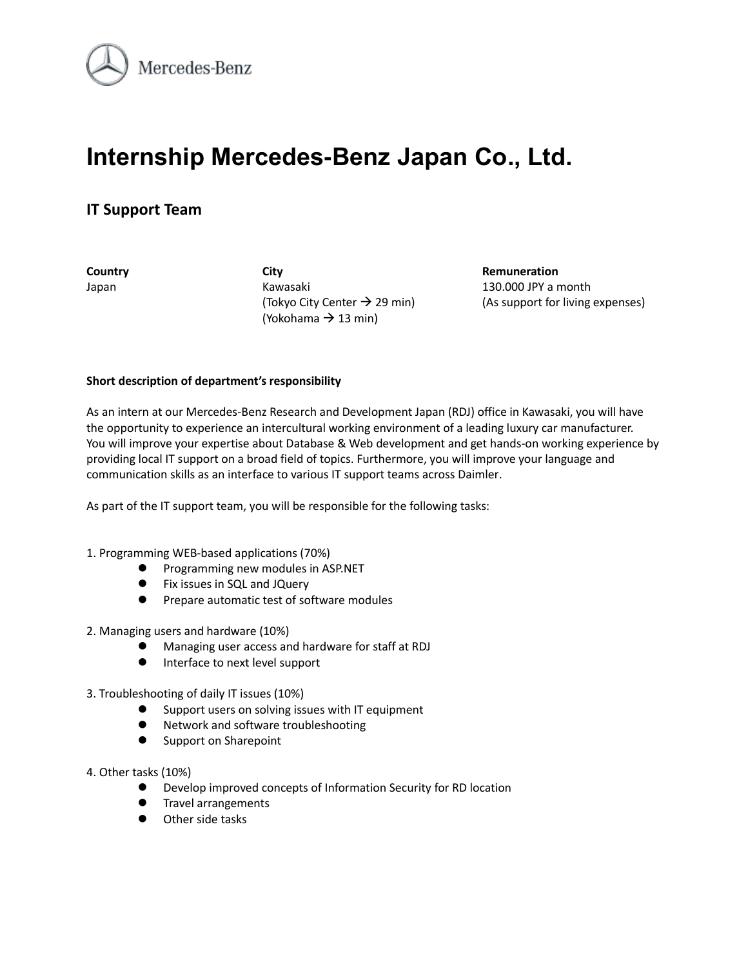

# **Internship Mercedes-Benz Japan Co., Ltd.**

# **IT Support Team**

**Country City City City Remuneration** Japan Kawasaki 130.000 JPY a month (Yokohama  $\rightarrow$  13 min)

(Tokyo City Center  $\rightarrow$  29 min) (As support for living expenses)

#### **Short description of department's responsibility**

As an intern at our Mercedes-Benz Research and Development Japan (RDJ) office in Kawasaki, you will have the opportunity to experience an intercultural working environment of a leading luxury car manufacturer. You will improve your expertise about Database & Web development and get hands-on working experience by providing local IT support on a broad field of topics. Furthermore, you will improve your language and communication skills as an interface to various IT support teams across Daimler.

As part of the IT support team, you will be responsible for the following tasks:

- 1. Programming WEB-based applications (70%)
	- **•** Programming new modules in ASP.NET
	- **•** Fix issues in SQL and JQuery
	- **•** Prepare automatic test of software modules
- 2. Managing users and hardware (10%)
	- Managing user access and hardware for staff at RDJ
	- **•** Interface to next level support
- 3. Troubleshooting of daily IT issues (10%)
	- Support users on solving issues with IT equipment
	- Network and software troubleshooting
	- Support on Sharepoint
- 4. Other tasks (10%)
	- Develop improved concepts of Information Security for RD location
	- **Travel arrangements**
	- Other side tasks